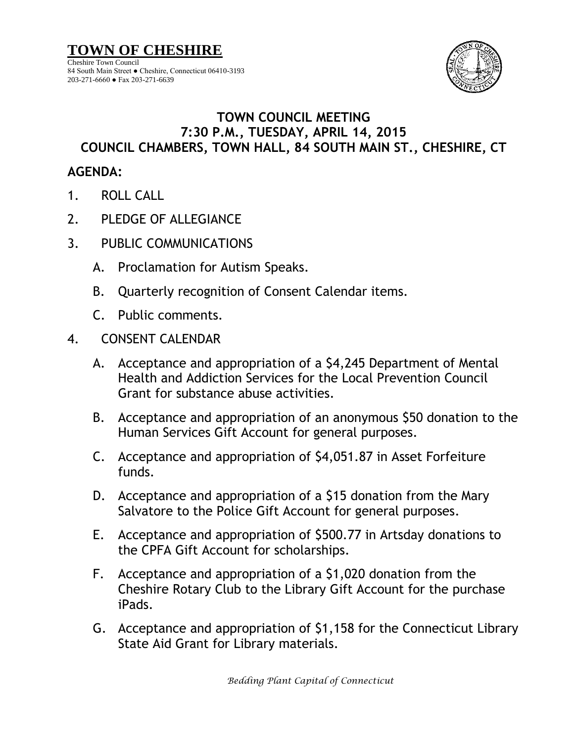

## **TOWN COUNCIL MEETING 7:30 P.M., TUESDAY, APRIL 14, 2015 COUNCIL CHAMBERS, TOWN HALL, 84 SOUTH MAIN ST., CHESHIRE, CT**

## **AGENDA:**

- 1. ROLL CALL
- 2. PLEDGE OF ALLEGIANCE
- 3. PUBLIC COMMUNICATIONS
	- A. Proclamation for Autism Speaks.
	- B. Quarterly recognition of Consent Calendar items.
	- C. Public comments.
- 4. CONSENT CALENDAR
	- A. Acceptance and appropriation of a \$4,245 Department of Mental Health and Addiction Services for the Local Prevention Council Grant for substance abuse activities.
	- B. Acceptance and appropriation of an anonymous \$50 donation to the Human Services Gift Account for general purposes.
	- C. Acceptance and appropriation of \$4,051.87 in Asset Forfeiture funds.
	- D. Acceptance and appropriation of a \$15 donation from the Mary Salvatore to the Police Gift Account for general purposes.
	- E. Acceptance and appropriation of \$500.77 in Artsday donations to the CPFA Gift Account for scholarships.
	- F. Acceptance and appropriation of a \$1,020 donation from the Cheshire Rotary Club to the Library Gift Account for the purchase iPads.
	- G. Acceptance and appropriation of \$1,158 for the Connecticut Library State Aid Grant for Library materials.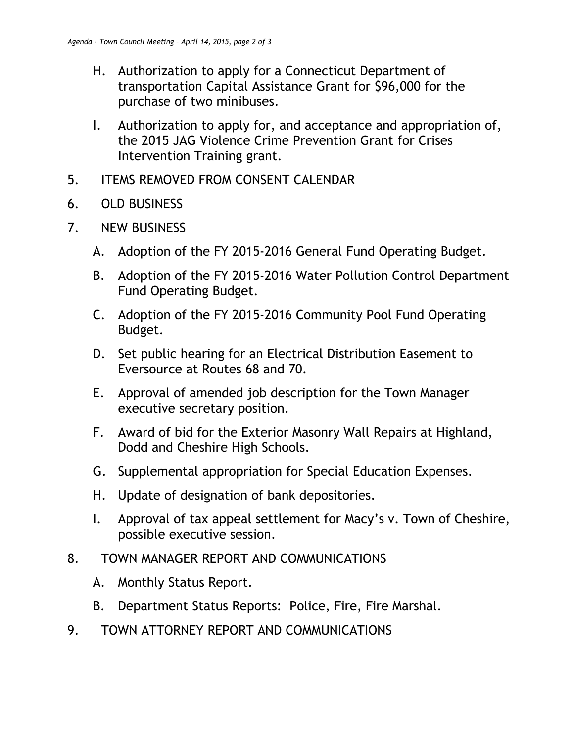- H. Authorization to apply for a Connecticut Department of transportation Capital Assistance Grant for \$96,000 for the purchase of two minibuses.
- I. Authorization to apply for, and acceptance and appropriation of, the 2015 JAG Violence Crime Prevention Grant for Crises Intervention Training grant.
- 5. ITEMS REMOVED FROM CONSENT CALENDAR
- 6. OLD BUSINESS
- 7. NEW BUSINESS
	- A. Adoption of the FY 2015-2016 General Fund Operating Budget.
	- B. Adoption of the FY 2015-2016 Water Pollution Control Department Fund Operating Budget.
	- C. Adoption of the FY 2015-2016 Community Pool Fund Operating Budget.
	- D. Set public hearing for an Electrical Distribution Easement to Eversource at Routes 68 and 70.
	- E. Approval of amended job description for the Town Manager executive secretary position.
	- F. Award of bid for the Exterior Masonry Wall Repairs at Highland, Dodd and Cheshire High Schools.
	- G. Supplemental appropriation for Special Education Expenses.
	- H. Update of designation of bank depositories.
	- I. Approval of tax appeal settlement for Macy's v. Town of Cheshire, possible executive session.
- 8. TOWN MANAGER REPORT AND COMMUNICATIONS
	- A. Monthly Status Report.
	- B. Department Status Reports: Police, Fire, Fire Marshal.
- 9. TOWN ATTORNEY REPORT AND COMMUNICATIONS